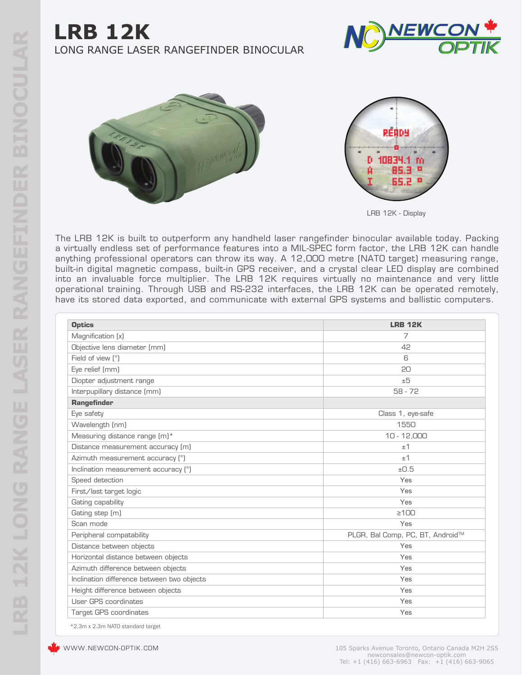







LRB 12K - Display

The LRB 12K is built to outperform any handheld laser rangefinder binocular available today. Packing a virtually endless set of performance features into a MIL-SPEC form factor, the LRB 12K can handle anything professional operators can throw its way. A 12,000 metre (NATO target) measuring range, built-in digital magnetic compass, built-in GPS receiver, and a crystal clear LED display are combined into an invaluable force multiplier. The LRB 12K requires virtually no maintenance and very little operational training. Through USB and RS-232 interfaces, the LRB 12K can be operated remotely, have its stored data exported, and communicate with external GPS systems and ballistic computers.

| <b>Optics</b>                              | <b>LRB 12K</b>                   |
|--------------------------------------------|----------------------------------|
| Magnification (x)                          | 7                                |
| Objective lens diameter (mm)               | 42                               |
| Field of view (°)                          | 6                                |
| Eye relief (mm)                            | 20                               |
| Diopter adjustment range                   | ±5                               |
| Interpupillary distance (mm)               | $58 - 72$                        |
| <b>Rangefinder</b>                         |                                  |
| Eye safety                                 | Class 1, eye-safe                |
| Wavelength (nm)                            | 1550                             |
| Measuring distance range (m)*              | $10 - 12,000$                    |
| Distance measurement accuracy (m)          | ±1                               |
| Azimuth measurement accuracy (°)           | ±1                               |
| Inclination measurement accuracy (°)       | ±0.5                             |
| Speed detection                            | Yes                              |
| First/last target logic                    | Yes                              |
| Gating capability                          | Yes                              |
| Gating step (m)                            | $\geq 100$                       |
| Scan mode                                  | Yes                              |
| Peripheral compatability                   | PLGR, Bal Comp, PC, BT, Android™ |
| Distance between objects                   | Yes                              |
| Horizontal distance between objects        | Yes                              |
| Azimuth difference between objects         | Yes                              |
| Inclination difference between two objects | Yes                              |
| Height difference between objects          | Yes                              |
| User GPS coordinates                       | Yes                              |
| <b>Target GPS coordinates</b>              | Yes                              |

\*2.3m x 2.3m NATO standard target